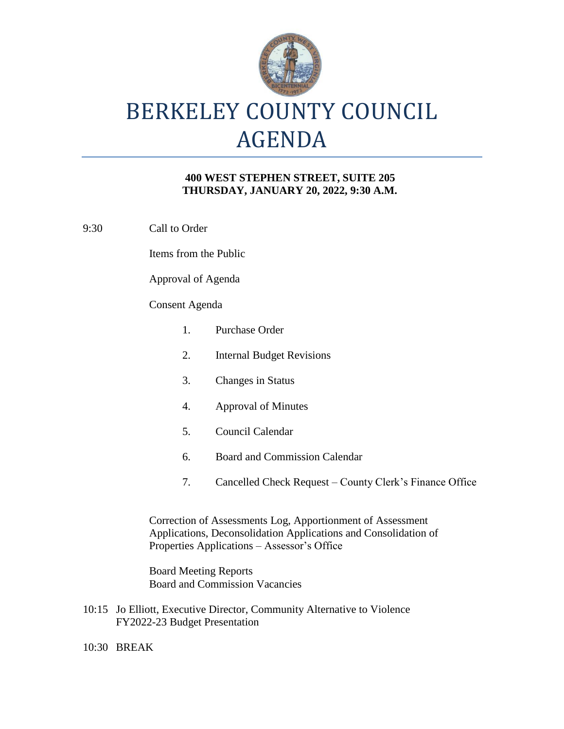

## BERKELEY COUNTY COUNCIL AGENDA

## **400 WEST STEPHEN STREET, SUITE 205 THURSDAY, JANUARY 20, 2022, 9:30 A.M.**

9:30 Call to Order

Items from the Public

Approval of Agenda

## Consent Agenda

| $1_{-}$                                                                                                                       | Purchase Order                                          |
|-------------------------------------------------------------------------------------------------------------------------------|---------------------------------------------------------|
| 2.                                                                                                                            | <b>Internal Budget Revisions</b>                        |
| 3.                                                                                                                            | <b>Changes in Status</b>                                |
| 4.                                                                                                                            | Approval of Minutes                                     |
| 5.                                                                                                                            | Council Calendar                                        |
| 6.                                                                                                                            | <b>Board and Commission Calendar</b>                    |
| 7.                                                                                                                            | Cancelled Check Request – County Clerk's Finance Office |
| Correction of Assessments Log, Apportionment of Assessment<br>Applications, Deconsolidation Applications and Consolidation of |                                                         |
| Properties Applications – Assessor's Office                                                                                   |                                                         |

Board Meeting Reports Board and Commission Vacancies

- 10:15 Jo Elliott, Executive Director, Community Alternative to Violence FY2022-23 Budget Presentation
- 10:30 BREAK